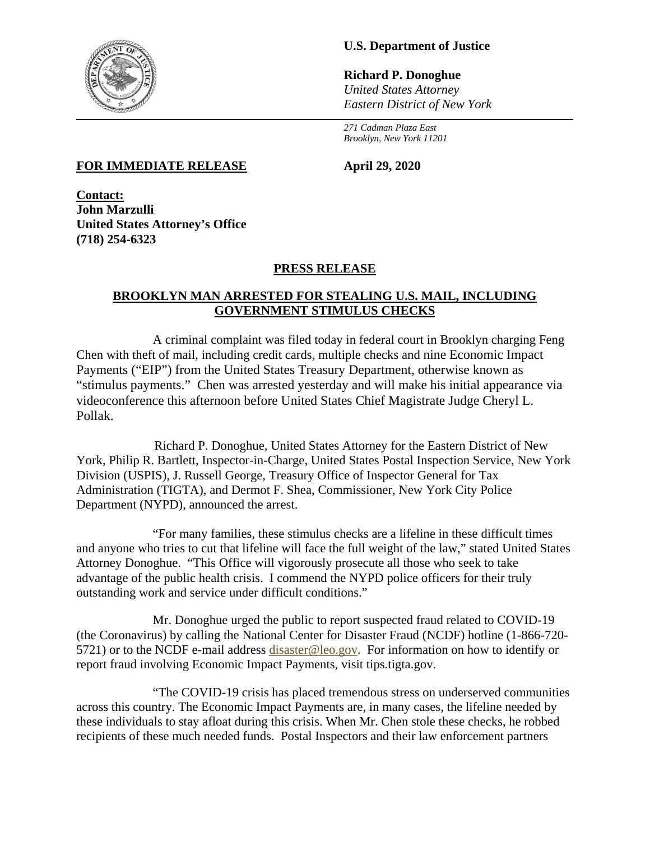

# **U.S. Department of Justice**

**Richard P. Donoghue** *United States Attorney Eastern District of New York*

*271 Cadman Plaza East Brooklyn, New York 11201*

#### **FOR IMMEDIATE RELEASE April 29, 2020**

**Contact: John Marzulli United States Attorney's Office (718) 254-6323**

## **PRESS RELEASE**

#### **BROOKLYN MAN ARRESTED FOR STEALING U.S. MAIL, INCLUDING GOVERNMENT STIMULUS CHECKS**

A criminal complaint was filed today in federal court in Brooklyn charging Feng Chen with theft of mail, including credit cards, multiple checks and nine Economic Impact Payments ("EIP") from the United States Treasury Department, otherwise known as "stimulus payments." Chen was arrested yesterday and will make his initial appearance via videoconference this afternoon before United States Chief Magistrate Judge Cheryl L. Pollak.

 Richard P. Donoghue, United States Attorney for the Eastern District of New York, Philip R. Bartlett, Inspector-in-Charge, United States Postal Inspection Service, New York Division (USPIS), J. Russell George, Treasury Office of Inspector General for Tax Administration (TIGTA), and Dermot F. Shea, Commissioner, New York City Police Department (NYPD), announced the arrest.

"For many families, these stimulus checks are a lifeline in these difficult times and anyone who tries to cut that lifeline will face the full weight of the law," stated United States Attorney Donoghue. "This Office will vigorously prosecute all those who seek to take advantage of the public health crisis. I commend the NYPD police officers for their truly outstanding work and service under difficult conditions."

Mr. Donoghue urged the public to report suspected fraud related to COVID-19 (the Coronavirus) by calling the National Center for Disaster Fraud (NCDF) hotline (1-866-720- 5721) or to the NCDF e-mail address [disaster@leo.gov.](mailto:disaster@leo.gov) For information on how to identify or report fraud involving Economic Impact Payments, visit tips.tigta.gov.

"The COVID-19 crisis has placed tremendous stress on underserved communities across this country. The Economic Impact Payments are, in many cases, the lifeline needed by these individuals to stay afloat during this crisis. When Mr. Chen stole these checks, he robbed recipients of these much needed funds. Postal Inspectors and their law enforcement partners